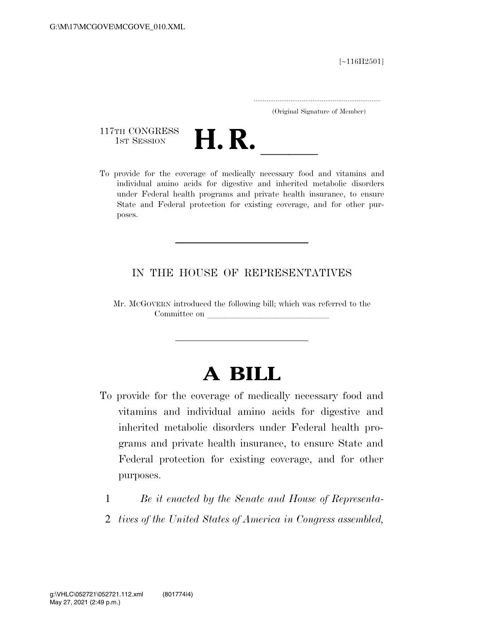[∼116H2501]

.....................................................................

(Original Signature of Member)

117TH CONGRESS<br>1st Session



117TH CONGRESS<br>1st SESSION<br>To provide for the coverage of medically necessary food and vitamins and individual amino acids for digestive and inherited metabolic disorders under Federal health programs and private health insurance, to ensure State and Federal protection for existing coverage, and for other purposes.

### IN THE HOUSE OF REPRESENTATIVES

Mr. MCGOVERN introduced the following bill; which was referred to the Committee on

# **A BILL**

- To provide for the coverage of medically necessary food and vitamins and individual amino acids for digestive and inherited metabolic disorders under Federal health programs and private health insurance, to ensure State and Federal protection for existing coverage, and for other purposes.
	- 1 *Be it enacted by the Senate and House of Representa-*
	- 2 *tives of the United States of America in Congress assembled,*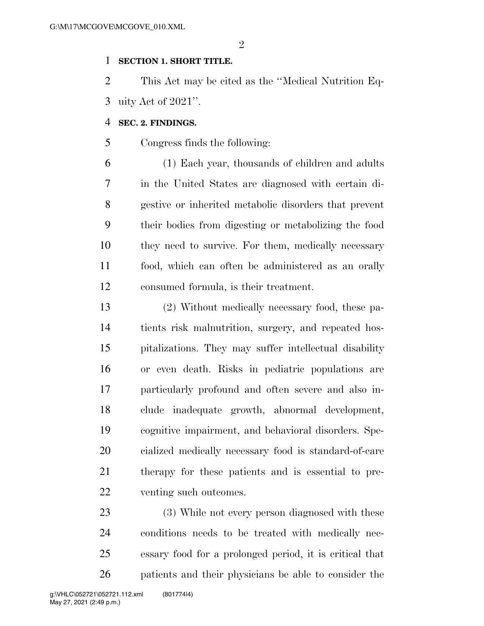$\mathfrak{D}$ 

#### **SECTION 1. SHORT TITLE.**

 This Act may be cited as the ''Medical Nutrition Eq-uity Act of 2021''.

#### **SEC. 2. FINDINGS.**

Congress finds the following:

 (1) Each year, thousands of children and adults in the United States are diagnosed with certain di- gestive or inherited metabolic disorders that prevent their bodies from digesting or metabolizing the food they need to survive. For them, medically necessary food, which can often be administered as an orally consumed formula, is their treatment.

 (2) Without medically necessary food, these pa- tients risk malnutrition, surgery, and repeated hos- pitalizations. They may suffer intellectual disability or even death. Risks in pediatric populations are particularly profound and often severe and also in- clude inadequate growth, abnormal development, cognitive impairment, and behavioral disorders. Spe- cialized medically necessary food is standard-of-care therapy for these patients and is essential to pre-venting such outcomes.

 (3) While not every person diagnosed with these conditions needs to be treated with medically nec- essary food for a prolonged period, it is critical that patients and their physicians be able to consider the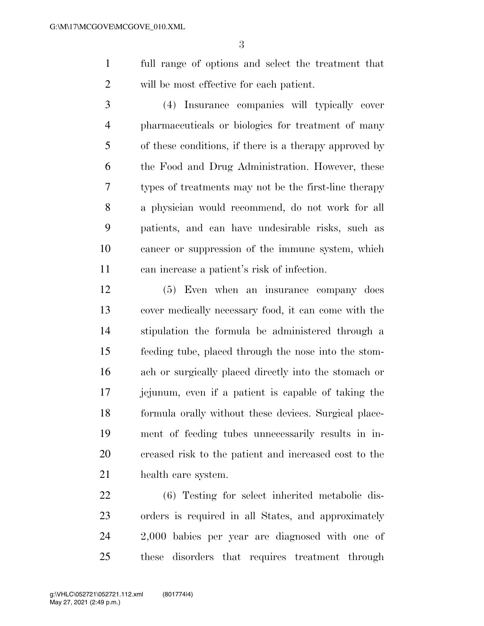full range of options and select the treatment that will be most effective for each patient.

 (4) Insurance companies will typically cover pharmaceuticals or biologics for treatment of many of these conditions, if there is a therapy approved by the Food and Drug Administration. However, these types of treatments may not be the first-line therapy a physician would recommend, do not work for all patients, and can have undesirable risks, such as cancer or suppression of the immune system, which can increase a patient's risk of infection.

 (5) Even when an insurance company does cover medically necessary food, it can come with the stipulation the formula be administered through a feeding tube, placed through the nose into the stom- ach or surgically placed directly into the stomach or jejunum, even if a patient is capable of taking the formula orally without these devices. Surgical place- ment of feeding tubes unnecessarily results in in- creased risk to the patient and increased cost to the health care system.

 (6) Testing for select inherited metabolic dis- orders is required in all States, and approximately 2,000 babies per year are diagnosed with one of these disorders that requires treatment through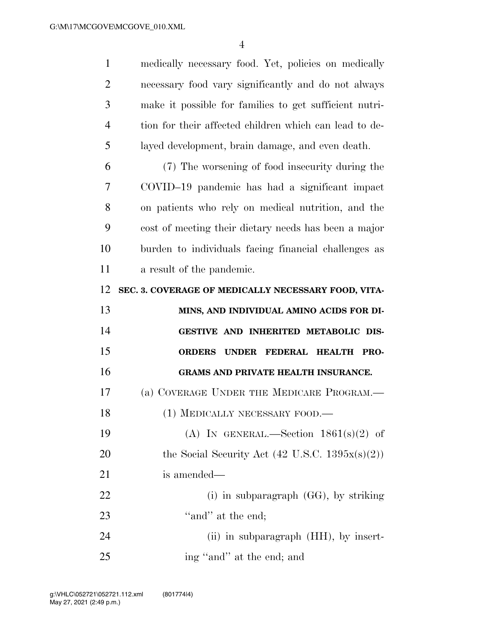medically necessary food. Yet, policies on medically necessary food vary significantly and do not always make it possible for families to get sufficient nutri- tion for their affected children which can lead to de- layed development, brain damage, and even death. (7) The worsening of food insecurity during the COVID–19 pandemic has had a significant impact on patients who rely on medical nutrition, and the cost of meeting their dietary needs has been a major burden to individuals facing financial challenges as a result of the pandemic. **SEC. 3. COVERAGE OF MEDICALLY NECESSARY FOOD, VITA- MINS, AND INDIVIDUAL AMINO ACIDS FOR DI- GESTIVE AND INHERITED METABOLIC DIS- ORDERS UNDER FEDERAL HEALTH PRO- GRAMS AND PRIVATE HEALTH INSURANCE.**  (a) COVERAGE UNDER THE MEDICARE PROGRAM.— 18 (1) MEDICALLY NECESSARY FOOD.— 19 (A) IN GENERAL.—Section  $1861(s)(2)$  of 20 the Social Security Act  $(42 \text{ U.S.C. } 1395x(s)(2))$  is amended— 22 (i) in subparagraph (GG), by striking 23 "and" at the end; 24 (ii) in subparagraph (HH), by insert-ing ''and'' at the end; and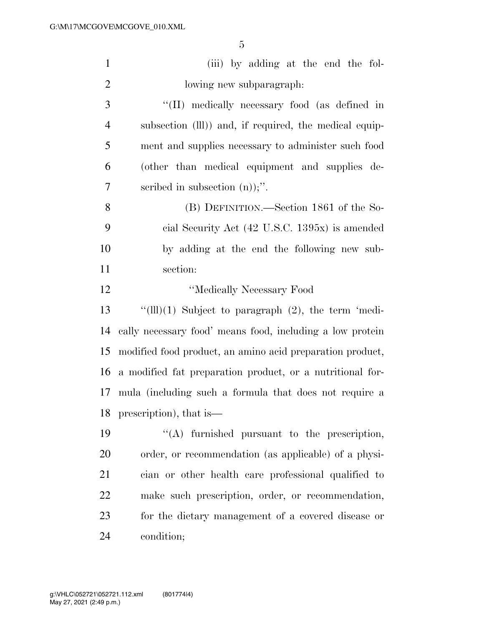| $\mathbf{1}$   | (iii) by adding at the end the fol-                              |
|----------------|------------------------------------------------------------------|
| $\overline{2}$ | lowing new subparagraph.                                         |
| 3              | "(II) medically necessary food (as defined in                    |
| $\overline{4}$ | subsection (III)) and, if required, the medical equip-           |
| 5              | ment and supplies necessary to administer such food              |
| 6              | (other than medical equipment and supplies de-                   |
| 7              | scribed in subsection $(n)$ ;".                                  |
| 8              | (B) DEFINITION.—Section 1861 of the So-                          |
| 9              | cial Security Act (42 U.S.C. 1395x) is amended                   |
| 10             | by adding at the end the following new sub-                      |
| 11             | section:                                                         |
| 12             | "Medically Necessary Food                                        |
| 13             | " $(\text{III})(1)$ Subject to paragraph $(2)$ , the term 'medi- |
| 14             | cally necessary food' means food, including a low protein        |
| 15             | modified food product, an amino acid preparation product,        |
| 16             | a modified fat preparation product, or a nutritional for-        |
| 17             | mula (including such a formula that does not require a           |
| 18             | prescription), that is—                                          |
| 19             | "(A) furnished pursuant to the prescription,                     |
| 20             | order, or recommendation (as applicable) of a physi-             |
| 21             | cian or other health care professional qualified to              |
| 22             | make such prescription, order, or recommendation,                |
| 23             | for the dietary management of a covered disease or               |
| 24             | condition;                                                       |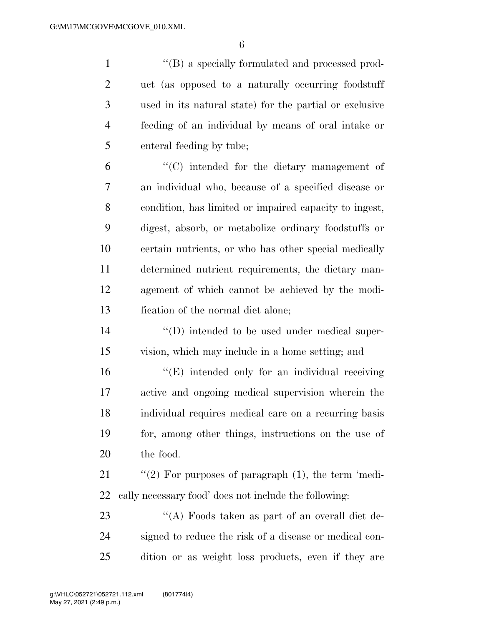$\langle$  ''(B) a specially formulated and processed prod- uct (as opposed to a naturally occurring foodstuff used in its natural state) for the partial or exclusive feeding of an individual by means of oral intake or enteral feeding by tube;

 ''(C) intended for the dietary management of an individual who, because of a specified disease or condition, has limited or impaired capacity to ingest, digest, absorb, or metabolize ordinary foodstuffs or certain nutrients, or who has other special medically determined nutrient requirements, the dietary man- agement of which cannot be achieved by the modi-fication of the normal diet alone;

14  $\langle \text{`(D)} \rangle$  intended to be used under medical super-vision, which may include in a home setting; and

16 "(E) intended only for an individual receiving active and ongoing medical supervision wherein the individual requires medical care on a recurring basis for, among other things, instructions on the use of the food.

21 "(2) For purposes of paragraph (1), the term 'medi-cally necessary food' does not include the following:

23 ''(A) Foods taken as part of an overall diet de- signed to reduce the risk of a disease or medical con-dition or as weight loss products, even if they are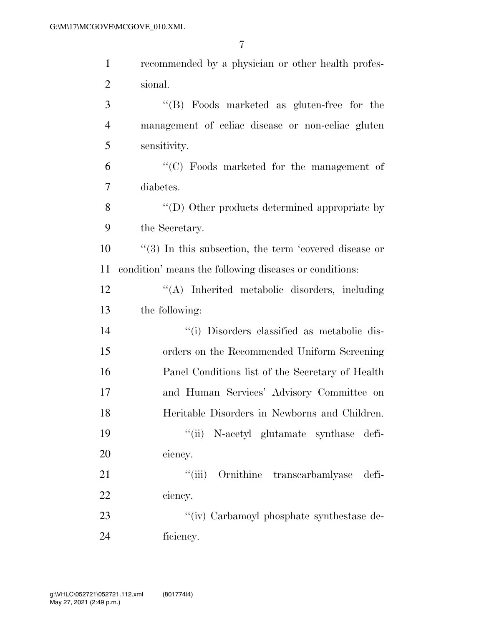| $\mathbf{1}$   | recommended by a physician or other health profes-           |
|----------------|--------------------------------------------------------------|
| $\overline{2}$ | sional.                                                      |
| 3              | "(B) Foods marketed as gluten-free for the                   |
| 4              | management of celiac disease or non-celiac gluten            |
| 5              | sensitivity.                                                 |
| 6              | "(C) Foods marketed for the management of                    |
| $\overline{7}$ | diabetes.                                                    |
| 8              | $\lq\lq$ (D) Other products determined appropriate by        |
| 9              | the Secretary.                                               |
| 10             | $\cdot$ (3) In this subsection, the term 'covered disease or |
| 11             | condition' means the following diseases or conditions:       |
| 12             | "(A) Inherited metabolic disorders, including                |
| 13             | the following:                                               |
| 14             | "(i) Disorders classified as metabolic dis-                  |
| 15             | orders on the Recommended Uniform Screening                  |
| 16             | Panel Conditions list of the Secretary of Health             |
| 17             | and Human Services' Advisory Committee on                    |
| 18             | Heritable Disorders in Newborns and Children.                |
| 19             | "(ii) N-acetyl glutamate synthase defi-                      |
| 20             | ciency.                                                      |
| 21             | ``(iii)<br>Ornithine transcarbamlyase<br>defi-               |
| 22             | ciency.                                                      |
| 23             | "(iv) Carbamoyl phosphate synthestase de-                    |
| 24             | ficiency.                                                    |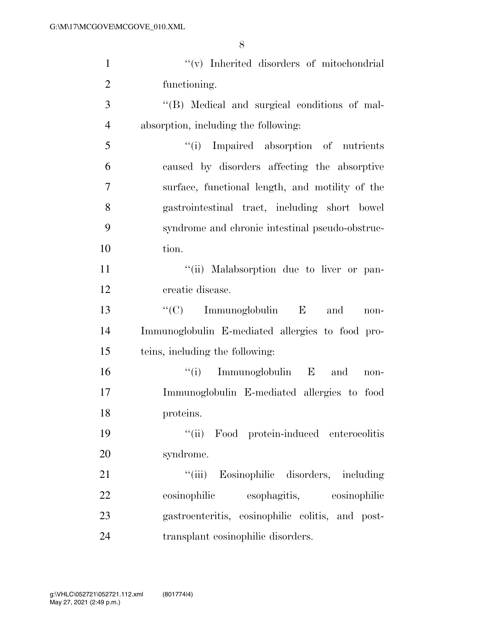| $\mathbf{1}$   | "(v) Inherited disorders of mitochondrial        |
|----------------|--------------------------------------------------|
| $\overline{2}$ | functioning.                                     |
| 3              | "(B) Medical and surgical conditions of mal-     |
| $\overline{4}$ | absorption, including the following:             |
| 5              | "(i) Impaired absorption of nutrients            |
| 6              | caused by disorders affecting the absorptive     |
| $\overline{7}$ | surface, functional length, and motility of the  |
| 8              | gastrointestinal tract, including short bowel    |
| 9              | syndrome and chronic intestinal pseudo-obstruc-  |
| 10             | tion.                                            |
| 11             | "(ii) Malabsorption due to liver or pan-         |
| 12             | creatic disease.                                 |
| 13             | " $(C)$ Immunoglobulin E and<br>non-             |
| 14             | Immunoglobulin E-mediated allergies to food pro- |
| 15             | teins, including the following:                  |
| 16             | $f(i)$ Immunoglobulin E and<br>$non-$            |
| 17             | Immunoglobulin E-mediated allergies to food      |
| 18             | proteins.                                        |
| 19             | "(ii) Food protein-induced enterocolitis         |
| 20             | syndrome.                                        |
| 21             | "(iii) Eosinophilic disorders, including         |
| 22             | esophagitis, eosinophilic<br>eosinophilic        |
| 23             | gastroenteritis, eosinophilic colitis, and post- |
| 24             | transplant eosinophilic disorders.               |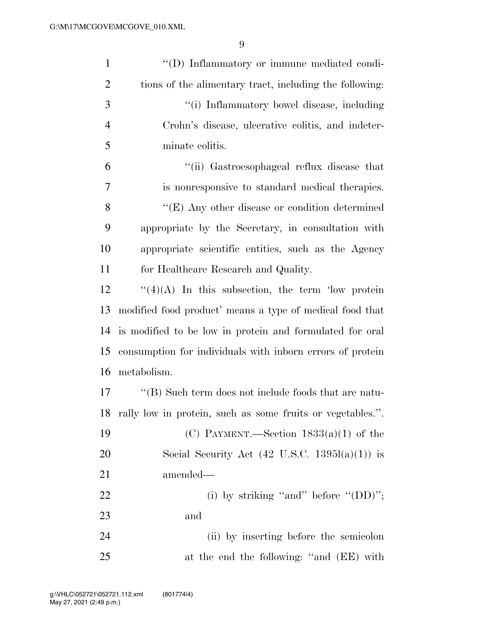| $\mathbf{1}$   | "(D) Inflammatory or immune mediated condi-                |
|----------------|------------------------------------------------------------|
| $\overline{2}$ | tions of the alimentary tract, including the following:    |
| 3              | "(i) Inflammatory bowel disease, including                 |
| $\overline{4}$ | Crohn's disease, ulcerative colitis, and indeter-          |
| 5              | minate colitis.                                            |
| 6              | "(ii) Gastroesophageal reflux disease that                 |
| $\overline{7}$ | is nonresponsive to standard medical therapies.            |
| 8              | $\lq\lq$ (E) Any other disease or condition determined     |
| 9              | appropriate by the Secretary, in consultation with         |
| 10             | appropriate scientific entities, such as the Agency        |
| 11             | for Healthcare Research and Quality.                       |
| 12             | $\lq(4)(A)$ In this subsection, the term 'low protein'     |
| 13             | modified food product' means a type of medical food that   |
| 14             | is modified to be low in protein and formulated for oral   |
| 15             | consumption for individuals with inform errors of protein  |
| 16             | metabolism.                                                |
| $17\,$         | $\lq\lq$ Such term does not include foods that are natu-   |
| 18             | rally low in protein, such as some fruits or vegetables.". |
| 19             | (C) PAYMENT.—Section $1833(a)(1)$ of the                   |
| 20             | Social Security Act $(42 \text{ U.S.C. } 1395l(a)(1))$ is  |
| 21             | amended—                                                   |
| 22             | (i) by striking "and" before " $(DD)$ ";                   |
| 23             | and                                                        |
| 24             | (ii) by inserting before the semicolon                     |
| 25             | at the end the following: "and (EE) with                   |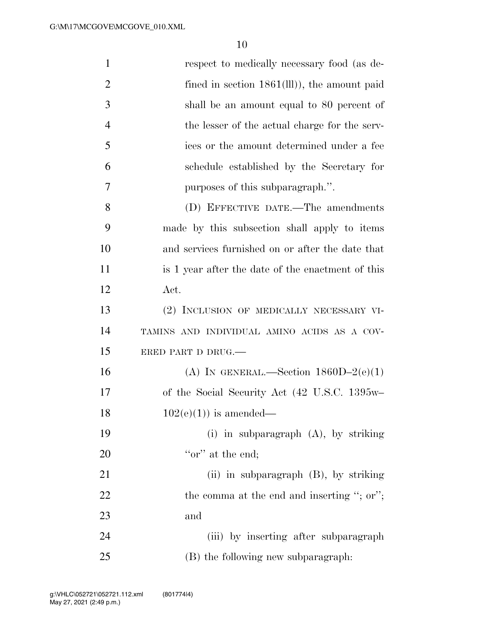| $\mathbf{1}$   | respect to medically necessary food (as de-       |
|----------------|---------------------------------------------------|
| $\overline{2}$ | fined in section $1861(III)$ ), the amount paid   |
| 3              | shall be an amount equal to 80 percent of         |
| $\overline{4}$ | the lesser of the actual charge for the serv-     |
| 5              | ices or the amount determined under a fee         |
| 6              | schedule established by the Secretary for         |
| 7              | purposes of this subparagraph.".                  |
| 8              | (D) EFFECTIVE DATE.—The amendments                |
| 9              | made by this subsection shall apply to items      |
| 10             | and services furnished on or after the date that  |
| 11             | is 1 year after the date of the enactment of this |
| 12             | $\operatorname{Act.}$                             |
| 13             | (2) INCLUSION OF MEDICALLY NECESSARY VI-          |
| 14             | TAMINS AND INDIVIDUAL AMINO ACIDS AS A COV-       |
| 15             | ERED PART D DRUG.                                 |
| 16             | (A) IN GENERAL.—Section $1860D-2(e)(1)$           |
| 17             | of the Social Security Act (42 U.S.C. 1395w-      |
| 18             | $102(e)(1)$ is amended—                           |
| 19             | (i) in subparagraph $(A)$ , by striking           |
| <b>20</b>      | "or" at the end;                                  |
| 21             | (ii) in subparagraph $(B)$ , by striking          |
| 22             | the comma at the end and inserting "; or";        |
| 23             | and                                               |
| 24             | (iii) by inserting after subparagraph             |
| 25             | (B) the following new subparagraph:               |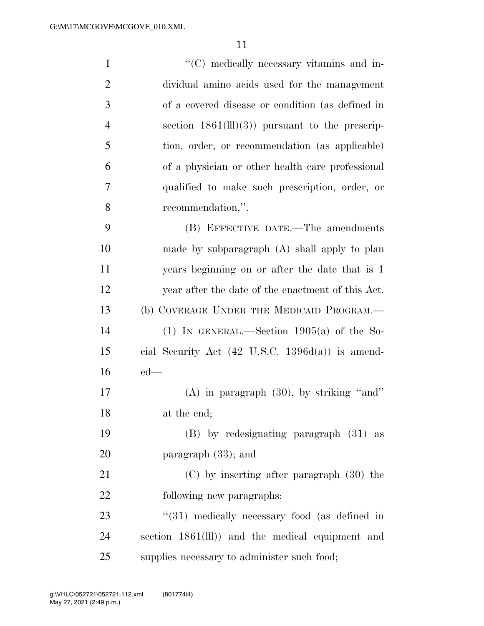| $\mathbf{1}$   | "(C) medically necessary vitamins and in-                   |
|----------------|-------------------------------------------------------------|
| $\overline{2}$ | dividual amino acids used for the management                |
| 3              | of a covered disease or condition (as defined in            |
| $\overline{4}$ | section $1861(\text{III})(3)$ pursuant to the prescrip-     |
| 5              | tion, order, or recommendation (as applicable)              |
| 6              | of a physician or other health care professional            |
| 7              | qualified to make such prescription, order, or              |
| 8              | recommendation,".                                           |
| 9              | (B) EFFECTIVE DATE.—The amendments                          |
| 10             | made by subparagraph (A) shall apply to plan                |
| 11             | years beginning on or after the date that is 1              |
| 12             | year after the date of the enactment of this Act.           |
| 13             | (b) COVERAGE UNDER THE MEDICAID PROGRAM.—                   |
| 14             | (1) IN GENERAL.—Section $1905(a)$ of the So-                |
| 15             | cial Security Act $(42 \text{ U.S.C. } 1396d(a))$ is amend- |
| 16             | $ed$ —                                                      |
| 17             | $(A)$ in paragraph $(30)$ , by striking "and"               |
| 18             | at the end;                                                 |
| 19             | $(B)$ by redesignating paragraph $(31)$ as                  |
| 20             | paragraph $(33)$ ; and                                      |
| 21             | $(C)$ by inserting after paragraph $(30)$ the               |
| 22             | following new paragraphs:                                   |
| 23             | "(31) medically necessary food (as defined in               |
| 24             | section 1861(lll)) and the medical equipment and            |
| 25             | supplies necessary to administer such food;                 |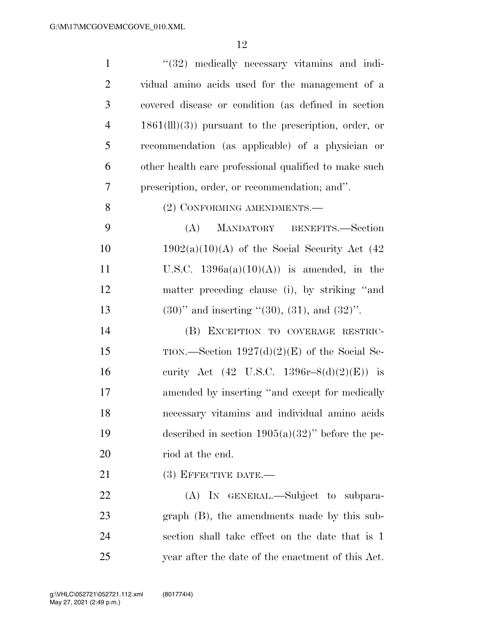| $\mathbf{1}$   | $(32)$ medically necessary vitamins and indi-                   |
|----------------|-----------------------------------------------------------------|
| $\overline{2}$ | vidual amino acids used for the management of a                 |
| 3              | covered disease or condition (as defined in section             |
| $\overline{4}$ | $1861(\text{III})(3)$ ) pursuant to the prescription, order, or |
| 5              | recommendation (as applicable) of a physician or                |
| 6              | other health care professional qualified to make such           |
| $\tau$         | prescription, order, or recommendation; and".                   |
| 8              | (2) CONFORMING AMENDMENTS.—                                     |
| 9              | MANDATORY BENEFITS.-Section<br>(A)                              |
| 10             | $1902(a)(10)(A)$ of the Social Security Act (42)                |
| 11             | U.S.C. $1396a(a)(10)(A)$ is amended, in the                     |
| 12             | matter preceding clause (i), by striking "and                   |
| 13             | $(30)$ " and inserting " $(30)$ , $(31)$ , and $(32)$ ".        |
| 14             | (B) EXCEPTION TO COVERAGE RESTRIC-                              |
| 15             | TION.—Section $1927(d)(2)(E)$ of the Social Se-                 |
| 16             | curity Act (42 U.S.C. 1396r-8(d)(2)(E)) is                      |
| 17             | amended by inserting "and except for medically                  |
| 18             | necessary vitamins and individual amino acids                   |
| 19             | described in section $1905(a)(32)$ " before the pe-             |
| 20             | riod at the end.                                                |
| 21             | $(3)$ EFFECTIVE DATE.—                                          |
| 22             | (A) IN GENERAL.—Subject to subpara-                             |
| 23             | $graph$ (B), the amendments made by this sub-                   |
| 24             | section shall take effect on the date that is 1                 |
| 25             | year after the date of the enactment of this Act.               |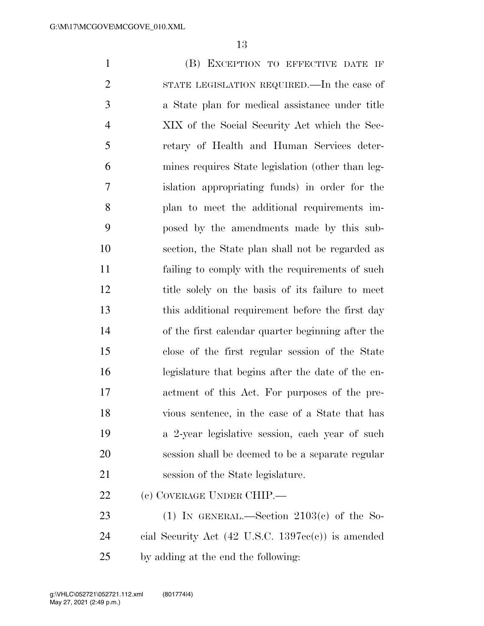(B) EXCEPTION TO EFFECTIVE DATE IF STATE LEGISLATION REQUIRED.—In the case of a State plan for medical assistance under title XIX of the Social Security Act which the Sec- retary of Health and Human Services deter- mines requires State legislation (other than leg- islation appropriating funds) in order for the plan to meet the additional requirements im- posed by the amendments made by this sub- section, the State plan shall not be regarded as failing to comply with the requirements of such title solely on the basis of its failure to meet this additional requirement before the first day of the first calendar quarter beginning after the close of the first regular session of the State legislature that begins after the date of the en- actment of this Act. For purposes of the pre- vious sentence, in the case of a State that has a 2-year legislative session, each year of such session shall be deemed to be a separate regular session of the State legislature. (c) COVERAGE UNDER CHIP.— 23 (1) IN GENERAL.—Section  $2103(c)$  of the So-

 cial Security Act (42 U.S.C. 1397cc(c)) is amended by adding at the end the following: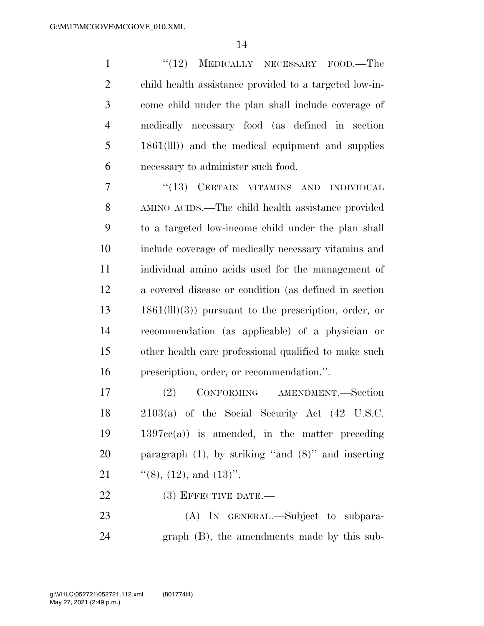1 "(12) MEDICALLY NECESSARY FOOD.—The child health assistance provided to a targeted low-in- come child under the plan shall include coverage of medically necessary food (as defined in section 1861(lll)) and the medical equipment and supplies necessary to administer such food.

7 "(13) CERTAIN VITAMINS AND INDIVIDUAL AMINO ACIDS.—The child health assistance provided to a targeted low-income child under the plan shall include coverage of medically necessary vitamins and individual amino acids used for the management of a covered disease or condition (as defined in section 1861(lll)(3)) pursuant to the prescription, order, or recommendation (as applicable) of a physician or other health care professional qualified to make such prescription, order, or recommendation.''.

 (2) CONFORMING AMENDMENT.—Section 2103(a) of the Social Security Act (42 U.S.C. 1397cc(a)) is amended, in the matter preceding paragraph (1), by striking ''and (8)'' and inserting 21 "(8), (12), and (13)".

22 (3) EFFECTIVE DATE.—

 (A) IN GENERAL.—Subject to subpara-graph (B), the amendments made by this sub-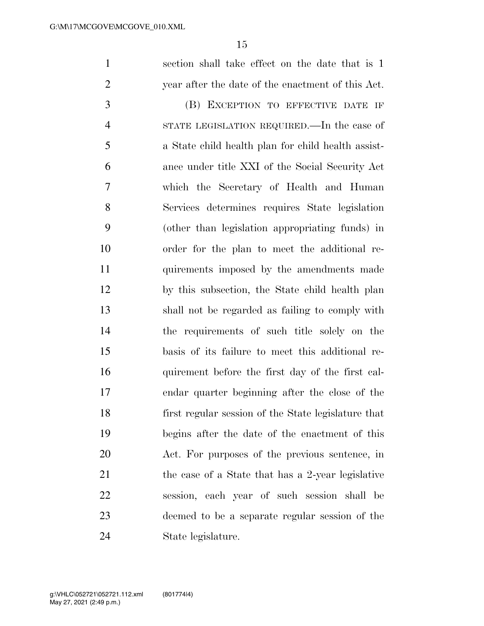section shall take effect on the date that is 1 year after the date of the enactment of this Act.

 (B) EXCEPTION TO EFFECTIVE DATE IF STATE LEGISLATION REQUIRED.—In the case of a State child health plan for child health assist- ance under title XXI of the Social Security Act which the Secretary of Health and Human Services determines requires State legislation (other than legislation appropriating funds) in order for the plan to meet the additional re- quirements imposed by the amendments made by this subsection, the State child health plan shall not be regarded as failing to comply with the requirements of such title solely on the basis of its failure to meet this additional re- quirement before the first day of the first cal- endar quarter beginning after the close of the first regular session of the State legislature that begins after the date of the enactment of this Act. For purposes of the previous sentence, in 21 the case of a State that has a 2-year legislative session, each year of such session shall be deemed to be a separate regular session of the State legislature.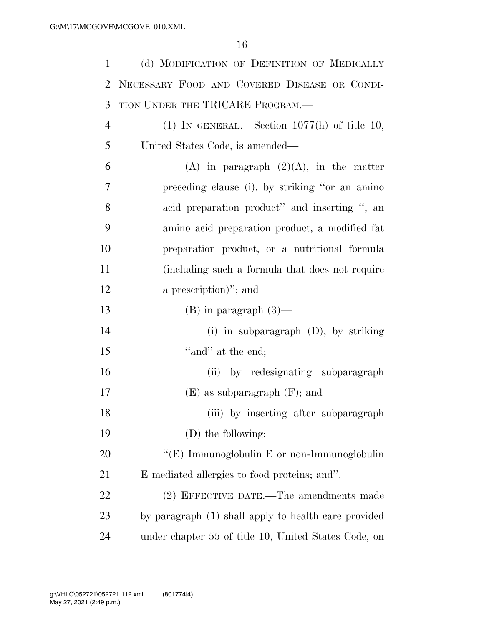| $\mathbf{1}$   | (d) MODIFICATION OF DEFINITION OF MEDICALLY          |
|----------------|------------------------------------------------------|
| 2              | NECESSARY FOOD AND COVERED DISEASE OR CONDI-         |
| 3              | TION UNDER THE TRICARE PROGRAM.                      |
| $\overline{4}$ | (1) IN GENERAL.—Section $1077(h)$ of title 10,       |
| 5              | United States Code, is amended—                      |
| 6              | $(A)$ in paragraph $(2)(A)$ , in the matter          |
| 7              | preceding clause (i), by striking "or an amino       |
| 8              | acid preparation product" and inserting ", an        |
| 9              | amino acid preparation product, a modified fat       |
| 10             | preparation product, or a nutritional formula        |
| 11             | (including such a formula that does not require      |
| 12             | a prescription)"; and                                |
| 13             | $(B)$ in paragraph $(3)$ —                           |
| 14             | (i) in subparagraph $(D)$ , by striking              |
| 15             | "and" at the end;                                    |
| 16             | (ii) by redesignating subparagraph                   |
| 17             | $(E)$ as subparagraph $(F)$ ; and                    |
| 18             | (iii) by inserting after subparagraph                |
| 19             | (D) the following:                                   |
| 20             | "(E) Immunoglobulin E or non-Immunoglobulin          |
| 21             | E mediated allergies to food proteins; and".         |
| 22             | (2) EFFECTIVE DATE.—The amendments made              |
| 23             | by paragraph (1) shall apply to health care provided |
| 24             | under chapter 55 of title 10, United States Code, on |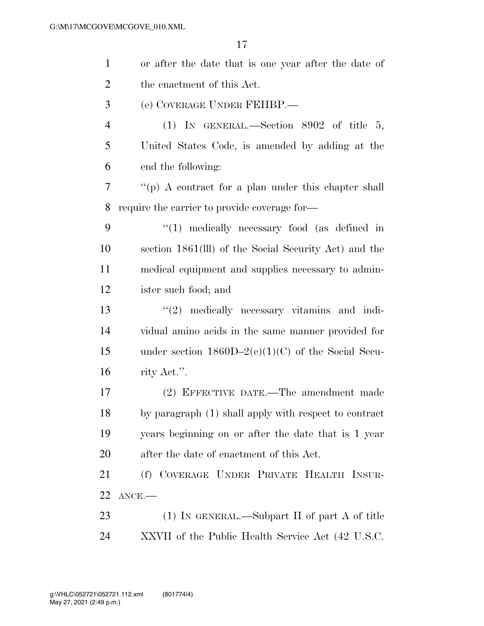| $\mathbf{1}$   | or after the date that is one year after the date of  |
|----------------|-------------------------------------------------------|
| $\overline{2}$ | the enactment of this Act.                            |
| 3              | (e) COVERAGE UNDER FEHBP.—                            |
| 4              | (1) IN GENERAL.—Section $8902$ of title 5,            |
| 5              | United States Code, is amended by adding at the       |
| 6              | end the following:                                    |
| 7              | "(p) A contract for a plan under this chapter shall   |
| 8              | require the carrier to provide coverage for—          |
| 9              | $\lq(1)$ medically necessary food (as defined in      |
| 10             | section 1861(III) of the Social Security Act) and the |
| 11             | medical equipment and supplies necessary to admin-    |
| 12             | ister such food; and                                  |
| 13             | $\lq(2)$ medically necessary vitamins and indi-       |
| 14             | vidual amino acids in the same manner provided for    |
| 15             | under section $1860D-2(e)(1)(C)$ of the Social Secu-  |
| 16             | rity Act.".                                           |
| 17             | (2) EFFECTIVE DATE.—The amendment made                |
| 18             | by paragraph (1) shall apply with respect to contract |
| 19             | years beginning on or after the date that is 1 year   |
| <b>20</b>      | after the date of enactment of this Act.              |
| 21             | (f) COVERAGE UNDER PRIVATE HEALTH INSUR-              |
| 22             | $ANCE$ .                                              |
| 23             | $(1)$ In GENERAL.—Subpart II of part A of title       |
| 24             | XXVII of the Public Health Service Act (42 U.S.C.     |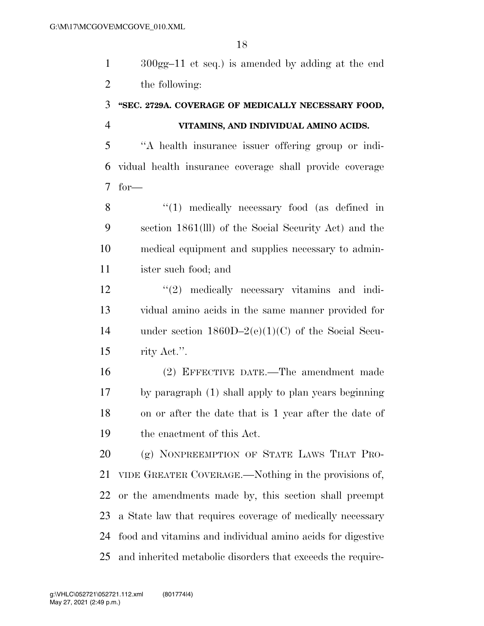300gg–11 et seq.) is amended by adding at the end the following:

## **''SEC. 2729A. COVERAGE OF MEDICALLY NECESSARY FOOD, VITAMINS, AND INDIVIDUAL AMINO ACIDS.**

 ''A health insurance issuer offering group or indi- vidual health insurance coverage shall provide coverage for—

8 "(1) medically necessary food (as defined in section 1861(lll) of the Social Security Act) and the medical equipment and supplies necessary to admin-ister such food; and

12 ''(2) medically necessary vitamins and indi- vidual amino acids in the same manner provided for under section 1860D–2(e)(1)(C) of the Social Secu-rity Act.''.

 (2) EFFECTIVE DATE.—The amendment made by paragraph (1) shall apply to plan years beginning on or after the date that is 1 year after the date of the enactment of this Act.

 (g) NONPREEMPTION OF STATE LAWS THAT PRO- VIDE GREATER COVERAGE.—Nothing in the provisions of, or the amendments made by, this section shall preempt a State law that requires coverage of medically necessary food and vitamins and individual amino acids for digestive and inherited metabolic disorders that exceeds the require